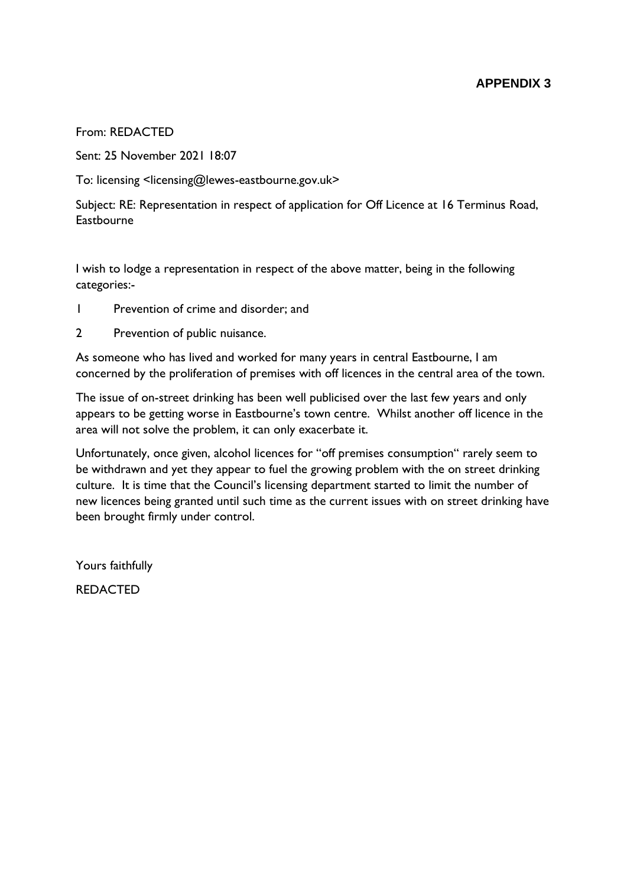From: REDACTED

Sent: 25 November 2021 18:07

To: licensing <licensing@lewes-eastbourne.gov.uk>

Subject: RE: Representation in respect of application for Off Licence at 16 Terminus Road, **Eastbourne** 

I wish to lodge a representation in respect of the above matter, being in the following categories:-

- 1 Prevention of crime and disorder; and
- 2 Prevention of public nuisance.

As someone who has lived and worked for many years in central Eastbourne, I am concerned by the proliferation of premises with off licences in the central area of the town.

The issue of on-street drinking has been well publicised over the last few years and only appears to be getting worse in Eastbourne's town centre. Whilst another off licence in the area will not solve the problem, it can only exacerbate it.

Unfortunately, once given, alcohol licences for "off premises consumption" rarely seem to be withdrawn and yet they appear to fuel the growing problem with the on street drinking culture. It is time that the Council's licensing department started to limit the number of new licences being granted until such time as the current issues with on street drinking have been brought firmly under control.

Yours faithfully

REDACTED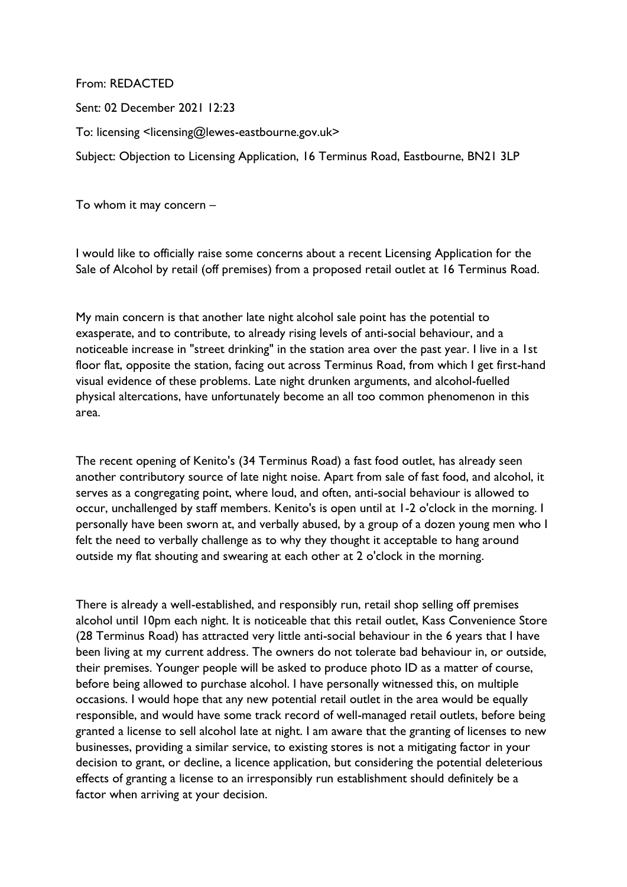Sent: 02 December 2021 12:23 To: licensing <licensing@lewes-eastbourne.gov.uk> Subject: Objection to Licensing Application, 16 Terminus Road, Eastbourne, BN21 3LP

To whom it may concern –

From: REDACTED

I would like to officially raise some concerns about a recent Licensing Application for the Sale of Alcohol by retail (off premises) from a proposed retail outlet at 16 Terminus Road.

My main concern is that another late night alcohol sale point has the potential to exasperate, and to contribute, to already rising levels of anti-social behaviour, and a noticeable increase in "street drinking" in the station area over the past year. I live in a 1st floor flat, opposite the station, facing out across Terminus Road, from which I get first-hand visual evidence of these problems. Late night drunken arguments, and alcohol-fuelled physical altercations, have unfortunately become an all too common phenomenon in this area.

The recent opening of Kenito's (34 Terminus Road) a fast food outlet, has already seen another contributory source of late night noise. Apart from sale of fast food, and alcohol, it serves as a congregating point, where loud, and often, anti-social behaviour is allowed to occur, unchallenged by staff members. Kenito's is open until at 1-2 o'clock in the morning. I personally have been sworn at, and verbally abused, by a group of a dozen young men who I felt the need to verbally challenge as to why they thought it acceptable to hang around outside my flat shouting and swearing at each other at 2 o'clock in the morning.

There is already a well-established, and responsibly run, retail shop selling off premises alcohol until 10pm each night. It is noticeable that this retail outlet, Kass Convenience Store (28 Terminus Road) has attracted very little anti-social behaviour in the 6 years that I have been living at my current address. The owners do not tolerate bad behaviour in, or outside, their premises. Younger people will be asked to produce photo ID as a matter of course, before being allowed to purchase alcohol. I have personally witnessed this, on multiple occasions. I would hope that any new potential retail outlet in the area would be equally responsible, and would have some track record of well-managed retail outlets, before being granted a license to sell alcohol late at night. I am aware that the granting of licenses to new businesses, providing a similar service, to existing stores is not a mitigating factor in your decision to grant, or decline, a licence application, but considering the potential deleterious effects of granting a license to an irresponsibly run establishment should definitely be a factor when arriving at your decision.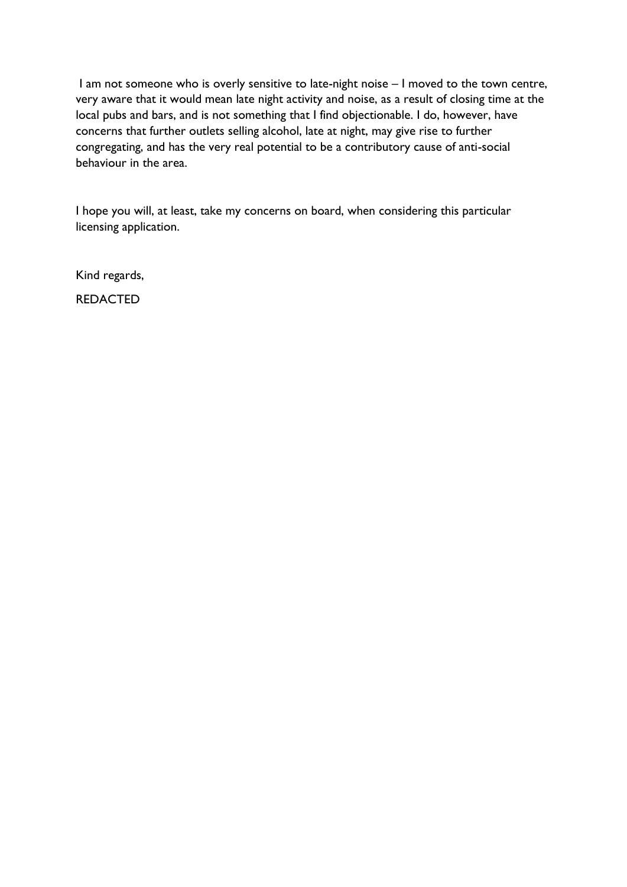I am not someone who is overly sensitive to late-night noise – I moved to the town centre, very aware that it would mean late night activity and noise, as a result of closing time at the local pubs and bars, and is not something that I find objectionable. I do, however, have concerns that further outlets selling alcohol, late at night, may give rise to further congregating, and has the very real potential to be a contributory cause of anti-social behaviour in the area.

I hope you will, at least, take my concerns on board, when considering this particular licensing application.

Kind regards,

REDACTED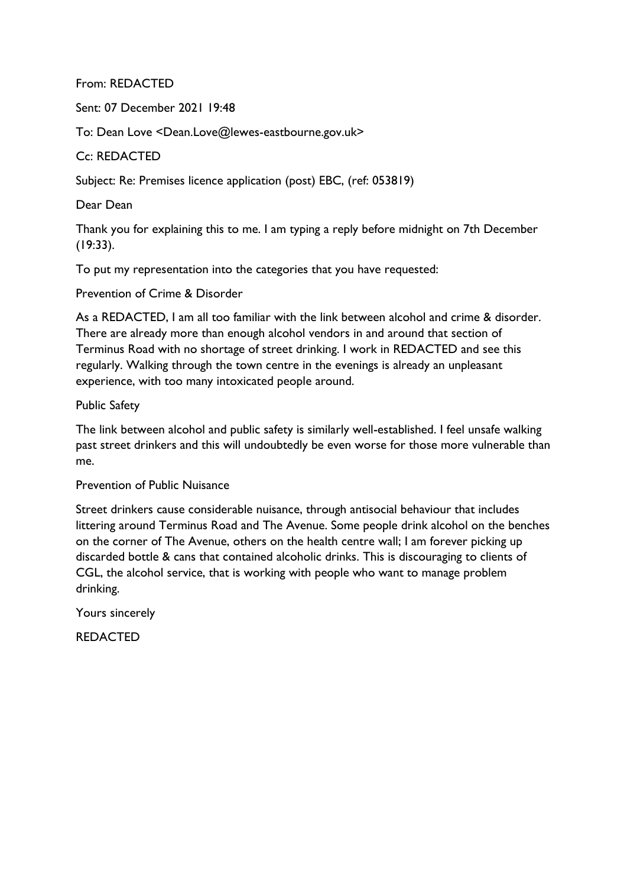From: REDACTED

Sent: 07 December 2021 19:48

To: Dean Love <Dean.Love@lewes-eastbourne.gov.uk>

## Cc: REDACTED

Subject: Re: Premises licence application (post) EBC, (ref: 053819)

Dear Dean

Thank you for explaining this to me. I am typing a reply before midnight on 7th December (19:33).

To put my representation into the categories that you have requested:

Prevention of Crime & Disorder

As a REDACTED, I am all too familiar with the link between alcohol and crime & disorder. There are already more than enough alcohol vendors in and around that section of Terminus Road with no shortage of street drinking. I work in REDACTED and see this regularly. Walking through the town centre in the evenings is already an unpleasant experience, with too many intoxicated people around.

Public Safety

The link between alcohol and public safety is similarly well-established. I feel unsafe walking past street drinkers and this will undoubtedly be even worse for those more vulnerable than me.

Prevention of Public Nuisance

Street drinkers cause considerable nuisance, through antisocial behaviour that includes littering around Terminus Road and The Avenue. Some people drink alcohol on the benches on the corner of The Avenue, others on the health centre wall; I am forever picking up discarded bottle & cans that contained alcoholic drinks. This is discouraging to clients of CGL, the alcohol service, that is working with people who want to manage problem drinking.

Yours sincerely

REDACTED